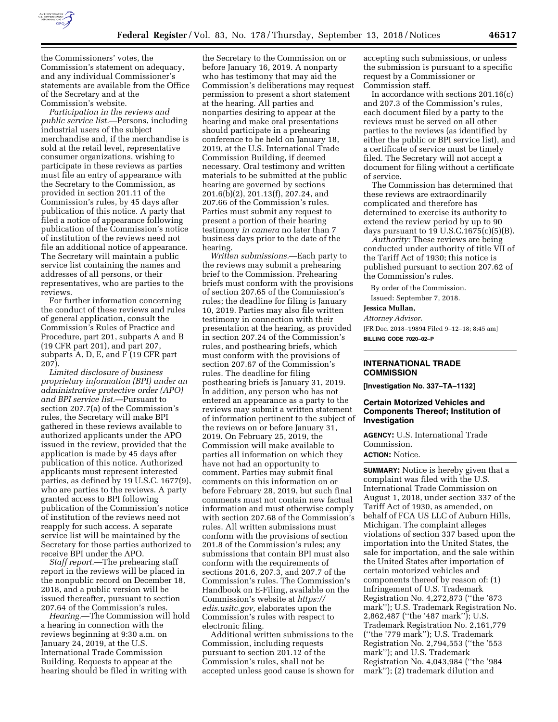

the Commissioners' votes, the Commission's statement on adequacy, and any individual Commissioner's statements are available from the Office of the Secretary and at the Commission's website.

*Participation in the reviews and public service list.*—Persons, including industrial users of the subject merchandise and, if the merchandise is sold at the retail level, representative consumer organizations, wishing to participate in these reviews as parties must file an entry of appearance with the Secretary to the Commission, as provided in section 201.11 of the Commission's rules, by 45 days after publication of this notice. A party that filed a notice of appearance following publication of the Commission's notice of institution of the reviews need not file an additional notice of appearance. The Secretary will maintain a public service list containing the names and addresses of all persons, or their representatives, who are parties to the reviews.

For further information concerning the conduct of these reviews and rules of general application, consult the Commission's Rules of Practice and Procedure, part 201, subparts A and B (19 CFR part 201), and part 207, subparts A, D, E, and F (19 CFR part 207).

*Limited disclosure of business proprietary information (BPI) under an administrative protective order (APO) and BPI service list.*—Pursuant to section 207.7(a) of the Commission's rules, the Secretary will make BPI gathered in these reviews available to authorized applicants under the APO issued in the review, provided that the application is made by 45 days after publication of this notice. Authorized applicants must represent interested parties, as defined by 19 U.S.C. 1677(9), who are parties to the reviews. A party granted access to BPI following publication of the Commission's notice of institution of the reviews need not reapply for such access. A separate service list will be maintained by the Secretary for those parties authorized to receive BPI under the APO.

*Staff report.*—The prehearing staff report in the reviews will be placed in the nonpublic record on December 18, 2018, and a public version will be issued thereafter, pursuant to section 207.64 of the Commission's rules.

*Hearing.*—The Commission will hold a hearing in connection with the reviews beginning at 9:30 a.m. on January 24, 2019, at the U.S. International Trade Commission Building. Requests to appear at the hearing should be filed in writing with

the Secretary to the Commission on or before January 16, 2019. A nonparty who has testimony that may aid the Commission's deliberations may request permission to present a short statement at the hearing. All parties and nonparties desiring to appear at the hearing and make oral presentations should participate in a prehearing conference to be held on January 18, 2019, at the U.S. International Trade Commission Building, if deemed necessary. Oral testimony and written materials to be submitted at the public hearing are governed by sections 201.6(b)(2), 201.13(f), 207.24, and 207.66 of the Commission's rules. Parties must submit any request to present a portion of their hearing testimony *in camera* no later than 7 business days prior to the date of the hearing.

*Written submissions.*—Each party to the reviews may submit a prehearing brief to the Commission. Prehearing briefs must conform with the provisions of section 207.65 of the Commission's rules; the deadline for filing is January 10, 2019. Parties may also file written testimony in connection with their presentation at the hearing, as provided in section 207.24 of the Commission's rules, and posthearing briefs, which must conform with the provisions of section 207.67 of the Commission's rules. The deadline for filing posthearing briefs is January 31, 2019. In addition, any person who has not entered an appearance as a party to the reviews may submit a written statement of information pertinent to the subject of the reviews on or before January 31, 2019. On February 25, 2019, the Commission will make available to parties all information on which they have not had an opportunity to comment. Parties may submit final comments on this information on or before February 28, 2019, but such final comments must not contain new factual information and must otherwise comply with section 207.68 of the Commission's rules. All written submissions must conform with the provisions of section 201.8 of the Commission's rules; any submissions that contain BPI must also conform with the requirements of sections 201.6, 207.3, and 207.7 of the Commission's rules. The Commission's Handbook on E-Filing, available on the Commission's website at *[https://](https://edis.usitc.gov) [edis.usitc.gov,](https://edis.usitc.gov)* elaborates upon the Commission's rules with respect to electronic filing.

Additional written submissions to the Commission, including requests pursuant to section 201.12 of the Commission's rules, shall not be accepted unless good cause is shown for

accepting such submissions, or unless the submission is pursuant to a specific request by a Commissioner or Commission staff.

In accordance with sections 201.16(c) and 207.3 of the Commission's rules, each document filed by a party to the reviews must be served on all other parties to the reviews (as identified by either the public or BPI service list), and a certificate of service must be timely filed. The Secretary will not accept a document for filing without a certificate of service.

The Commission has determined that these reviews are extraordinarily complicated and therefore has determined to exercise its authority to extend the review period by up to 90 days pursuant to  $19 \text{ U.S. C. } 1675 \text{(c)} \text{(5)} \text{(B)}$ .

*Authority:* These reviews are being conducted under authority of title VII of the Tariff Act of 1930; this notice is published pursuant to section 207.62 of the Commission's rules.

By order of the Commission.

Issued: September 7, 2018.

## **Jessica Mullan,**

*Attorney Advisor.* 

[FR Doc. 2018–19894 Filed 9–12–18; 8:45 am] **BILLING CODE 7020–02–P** 

## **INTERNATIONAL TRADE COMMISSION**

**[Investigation No. 337–TA–1132]** 

## **Certain Motorized Vehicles and Components Thereof; Institution of Investigation**

**AGENCY:** U.S. International Trade Commission.

# **ACTION:** Notice.

**SUMMARY:** Notice is hereby given that a complaint was filed with the U.S. International Trade Commission on August 1, 2018, under section 337 of the Tariff Act of 1930, as amended, on behalf of FCA US LLC of Auburn Hills, Michigan. The complaint alleges violations of section 337 based upon the importation into the United States, the sale for importation, and the sale within the United States after importation of certain motorized vehicles and components thereof by reason of: (1) Infringement of U.S. Trademark Registration No. 4,272,873 (''the '873 mark''); U.S. Trademark Registration No. 2,862,487 (''the '487 mark''); U.S. Trademark Registration No. 2,161,779 (''the '779 mark''); U.S. Trademark Registration No. 2,794,553 (''the '553 mark''); and U.S. Trademark Registration No. 4,043,984 (''the '984 mark''); (2) trademark dilution and